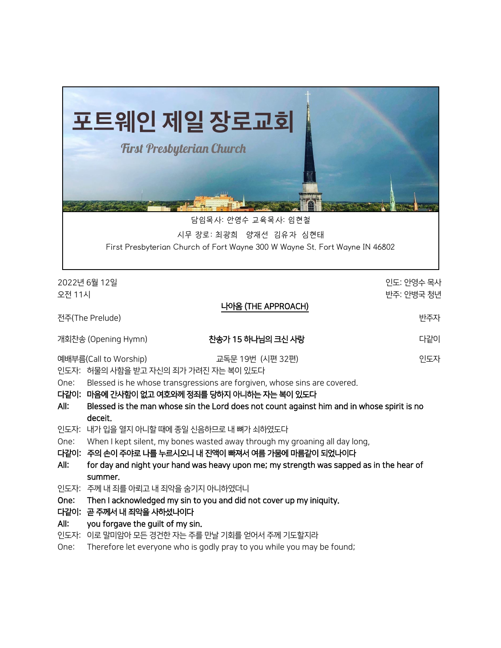

담임목사: 안영수 교육목사: 임현철

시무 장로: 최광희 양재선 김유자 심현태

First Presbyterian Church of Fort Wayne 300 W Wayne St. Fort Wayne IN 46802

2022년 6월 12일 인도: 안영수 목사 오전 11시 반주: 안병국 청년 나아옴 (THE APPROACH) 전주(The Prelude) 반주자 개회찬송 (Opening Hymn) 찬송가 15 하나님의 크신 사랑 다같이 예배부름(Call to Worship) 교독문 19번 (시편 32편) 인도자 인도자: 허물의 사함을 받고 자신의 죄가 가려진 자는 복이 있도다 One: Blessed is he whose transgressions are forgiven, whose sins are covered. 다같이: 마음에 간사함이 없고 여호와께 정죄를 당하지 아니하는 자는 복이 있도다 All: Blessed is the man whose sin the Lord does not count against him and in whose spirit is no deceit. 인도자: 내가 입을 열지 아니할 때에 종일 신음하므로 내 뼈가 쇠하였도다 One: When I kept silent, my bones wasted away through my groaning all day long, 다같이: 주의 손이 주야로 나를 누르시오니 내 진액이 빠져서 여름 가뭄에 마름같이 되었나이다 All: for day and night your hand was heavy upon me; my strength was sapped as in the hear of summer. 인도자: 주께 내 죄를 아뢰고 내 죄악을 숨기지 아니하였더니 One: Then I acknowledged my sin to you and did not cover up my iniquity. 다같이: 곧 주께서 내 죄악을 사하셨나이다 All: you forgave the guilt of my sin. 인도자: 이로 말미암아 모든 경건한 자는 주를 만날 기회를 얻어서 주께 기도할지라 One: Therefore let everyone who is godly pray to you while you may be found;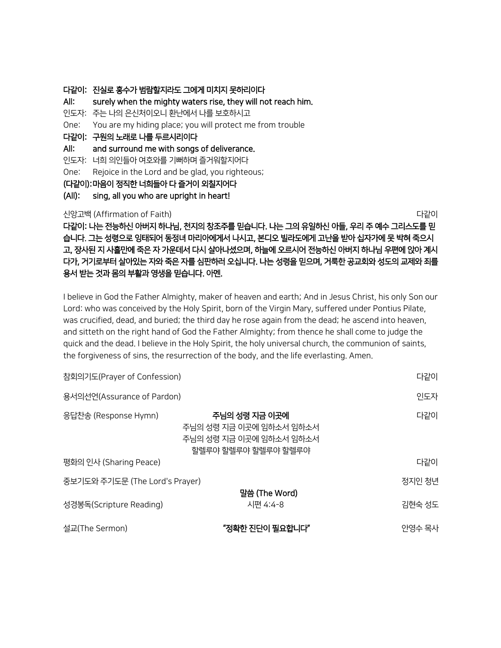#### 다같이: 진실로 홍수가 범람할지라도 그에게 미치지 못하리이다

All: surely when the mighty waters rise, they will not reach him. 인도자: 주는 나의 은신처이오니 환난에서 나를 보호하시고 One: You are my hiding place; you will protect me from trouble 다같이: 구원의 노래로 나를 두르시리이다 All: and surround me with songs of deliverance. 인도자: 너희 의인들아 여호와를 기뻐하며 즐거워할지어다 One: Rejoice in the Lord and be glad, you righteous; (다같이): 마음이 정직한 너희들아 다 즐거이 외칠지어다 (All): sing, all you who are upright in heart! 신앙고백 (Affirmation of Faith) 다 나는 아이들이 아이들이 아이들이 아이들이 아이들이 나간이 나갔다.

다같이: 나는 전능하신 아버지 하나님, 천지의 창조주를 믿습니다. 나는 그의 유일하신 아들, 우리 주 예수 그리스도를 믿 습니다. 그는 성령으로 잉태되어 동정녀 마리아에게서 나시고, 본디오 빌라도에게 고난을 받아 십자가에 못 박혀 죽으시 고, 장사된 지 사흘만에 죽은 자 가운데서 다시 살아나셨으며, 하늘에 오르시어 전능하신 아버지 하나님 우편에 앉아 계시 다가, 거기로부터 살아있는 자와 죽은 자를 심판하러 오십니다. 나는 성령을 믿으며, 거룩한 공교회와 성도의 교제와 죄를 용서 받는 것과 몸의 부활과 영생을 믿습니다. 아멘.

I believe in God the Father Almighty, maker of heaven and earth; And in Jesus Christ, his only Son our Lord: who was conceived by the Holy Spirit, born of the Virgin Mary, suffered under Pontius Pilate, was crucified, dead, and buried; the third day he rose again from the dead; he ascend into heaven, and sitteth on the right hand of God the Father Almighty; from thence he shall come to judge the quick and the dead. I believe in the Holy Spirit, the holy universal church, the communion of saints, the forgiveness of sins, the resurrection of the body, and the life everlasting. Amen.

| 참회의기도(Prayer of Confession)    | 다같이                                                                                        |        |
|--------------------------------|--------------------------------------------------------------------------------------------|--------|
| 용서의선언(Assurance of Pardon)     | 인도자                                                                                        |        |
| 응답찬송 (Response Hymn)           | 주님의 성령 지금 이곳에<br>주님의 성령 지금 이곳에 임하소서 임하소서<br>주님의 성령 지금 이곳에 임하소서 임하소서<br>할렐루야 할렐루야 할렐루야 할렐루야 | 다같이    |
| 평화의 인사 (Sharing Peace)         |                                                                                            | 다같이    |
| 중보기도와 주기도문 (The Lord's Prayer) | 정지인 청년                                                                                     |        |
| 성경봉독(Scripture Reading)        | 말씀 (The Word)<br>시편 4:4-8                                                                  | 김현숙 성도 |
| 설교(The Sermon)                 | "정확한 진단이 필요합니다"                                                                            | 안영수 목사 |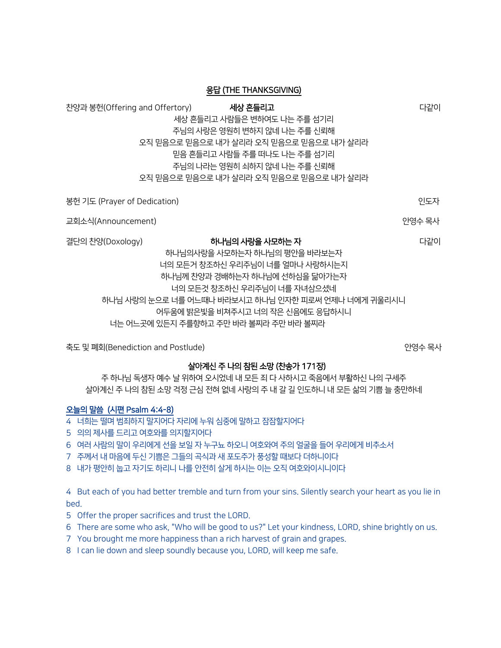| 응답 (THE THANKSGIVING)                                                                                                                                                                                                                                                                                              |                                                                                                                                                                                                                              |        |  |  |  |
|--------------------------------------------------------------------------------------------------------------------------------------------------------------------------------------------------------------------------------------------------------------------------------------------------------------------|------------------------------------------------------------------------------------------------------------------------------------------------------------------------------------------------------------------------------|--------|--|--|--|
| 찬양과 봉헌(Offering and Offertory)                                                                                                                                                                                                                                                                                     | 세상 흔들리고<br>세상 흔들리고 사람들은 변하여도 나는 주를 섬기리<br>주님의 사랑은 영원히 변하지 않네 나는 주를 신뢰해<br>오직 믿음으로 믿음으로 내가 살리라 오직 믿음으로 믿음으로 내가 살리라<br>믿음 흔들리고 사람들 주를 떠나도 나는 주를 섬기리<br>주님의 나라는 영원히 쇠하지 않네 나는 주를 신뢰해<br>오직 믿음으로 믿음으로 내가 살리라 오직 믿음으로 믿음으로 내가 살리라 | 다같이    |  |  |  |
| 봉헌 기도 (Prayer of Dedication)                                                                                                                                                                                                                                                                                       |                                                                                                                                                                                                                              | 인도자    |  |  |  |
| 교회소식(Announcement)                                                                                                                                                                                                                                                                                                 |                                                                                                                                                                                                                              | 안영수 목사 |  |  |  |
| 결단의 찬양(Doxology)<br>하나님의 사랑을 사모하는 자<br>다같이<br>하나님의사랑을 사모하는자 하나님의 평안을 바라보는자<br>너의 모든거 창조하신 우리주님이 너를 얼마나 사랑하시는지<br>하나님께 찬양과 경배하는자 하나님에 선하심을 닮아가는자<br>너의 모든것 창조하신 우리주님이 너를 자녀삼으셨네<br>하나님 사랑의 눈으로 너를 어느때나 바라보시고 하나님 인자한 피로써 언제나 너에게 귀울리시니<br>어두움에 밝은빛을 비쳐주시고 너의 작은 신음에도 응답하시니<br>너는 어느곳에 있든지 주를향하고 주만 바라 볼찌라 주만 바라 볼찌라 |                                                                                                                                                                                                                              |        |  |  |  |

축도 및 폐회(Benediction and Postlude) 이 이 이 이 이 이 이 이 이 이 이 이 이 안영수 목사

### 살아계신 주 나의 참된 소망 (찬송가 171장)

주 하나님 독생자 예수 날 위하여 오시었네 내 모든 죄 다 사하시고 죽음에서 부활하신 나의 구세주 살아계신 주 나의 참된 소망 걱정 근심 전혀 없네 사랑의 주 내 갈 길 인도하니 내 모든 삶의 기쁨 늘 충만하네

# 오늘의 말씀 (시편 Psalm 4:4-8)

- 4 너희는 떨며 범죄하지 말지어다 자리에 누워 심중에 말하고 잠잠할지어다
- 5 의의 제사를 드리고 여호와를 의지할지어다
- 6 여러 사람의 말이 우리에게 선을 보일 자 누구뇨 하오니 여호와여 주의 얼굴을 들어 우리에게 비추소서
- 7 주께서 내 마음에 두신 기쁨은 그들의 곡식과 새 포도주가 풍성할 때보다 더하니이다
- 8 내가 평안히 눕고 자기도 하리니 나를 안전히 살게 하시는 이는 오직 여호와이시니이다

4 But each of you had better tremble and turn from your sins. Silently search your heart as you lie in bed.

- 5 Offer the proper sacrifices and trust the LORD.
- 6 There are some who ask, "Who will be good to us?" Let your kindness, LORD, shine brightly on us.
- 7 You brought me more happiness than a rich harvest of grain and grapes.
- 8 I can lie down and sleep soundly because you, LORD, will keep me safe.